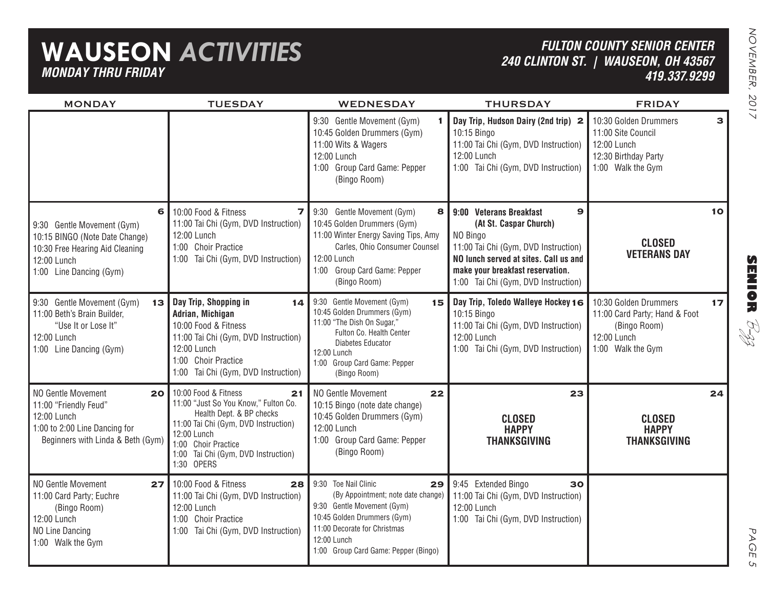## **WAUSEON** *ACTIVITIES MONDAY THRU FRIDAY*

### *FULTON COUNTY SENIOR CENTER240 CLINTON ST. | WAUSEON, OH 43567 419.337.9299*

| <b>MONDAY</b>                                                                                                                                  | <b>TUESDAY</b>                                                                                                                                                                                                                    | <b>WEDNESDAY</b>                                                                                                                                                                                                                  | <b>THURSDAY</b>                                                                                                                                                                                                                           | <b>FRIDAY</b>                                                                                                                 |
|------------------------------------------------------------------------------------------------------------------------------------------------|-----------------------------------------------------------------------------------------------------------------------------------------------------------------------------------------------------------------------------------|-----------------------------------------------------------------------------------------------------------------------------------------------------------------------------------------------------------------------------------|-------------------------------------------------------------------------------------------------------------------------------------------------------------------------------------------------------------------------------------------|-------------------------------------------------------------------------------------------------------------------------------|
|                                                                                                                                                |                                                                                                                                                                                                                                   | 9:30 Gentle Movement (Gym)<br>10:45 Golden Drummers (Gym)<br>11:00 Wits & Wagers<br>12:00 Lunch<br>1:00 Group Card Game: Pepper<br>(Bingo Room)                                                                                   | Day Trip, Hudson Dairy (2nd trip) 2<br>10:15 Bingo<br>11:00 Tai Chi (Gym, DVD Instruction)<br>12:00 Lunch<br>1:00 Tai Chi (Gym, DVD Instruction)                                                                                          | 10:30 Golden Drummers<br>3<br>11:00 Site Council<br>12:00 Lunch<br>12:30 Birthday Party<br>1:00 Walk the Gym                  |
| 6<br>9:30 Gentle Movement (Gym)<br>10:15 BINGO (Note Date Change)<br>10:30 Free Hearing Aid Cleaning<br>12:00 Lunch<br>1:00 Line Dancing (Gym) | 10:00 Food & Fitness<br>$\mathbf{7}$<br>11:00 Tai Chi (Gym, DVD Instruction)<br>12:00 Lunch<br>1:00 Choir Practice<br>1:00 Tai Chi (Gym, DVD Instruction)                                                                         | 9:30 Gentle Movement (Gym)<br>8<br>10:45 Golden Drummers (Gym)<br>11:00 Winter Energy Saving Tips, Amy<br>Carles, Ohio Consumer Counsel<br>12:00 Lunch<br>Group Card Game: Pepper<br>1:00<br>(Bingo Room)                         | 9:00 Veterans Breakfast<br>$\mathbf{9}$<br>(At St. Caspar Church)<br>NO Bingo<br>11:00 Tai Chi (Gym, DVD Instruction)<br>NO lunch served at sites. Call us and<br>make your breakfast reservation.<br>1:00 Tai Chi (Gym, DVD Instruction) | 10 <sub>1</sub><br><b>CLOSED</b><br><b>VETERANS DAY</b>                                                                       |
| 9:30 Gentle Movement (Gym)<br>13<br>11:00 Beth's Brain Builder,<br>"Use It or Lose It"<br>12:00 Lunch<br>1:00 Line Dancing (Gym)               | Day Trip, Shopping in<br>14<br>Adrian, Michigan<br>10:00 Food & Fitness<br>11:00 Tai Chi (Gym, DVD Instruction)<br>12:00 Lunch<br>1:00 Choir Practice<br>1:00 Tai Chi (Gym, DVD Instruction)                                      | 9:30 Gentle Movement (Gym)<br>15 <sup>1</sup><br>10:45 Golden Drummers (Gym)<br>11:00 "The Dish On Sugar,"<br>Fulton Co. Health Center<br>Diabetes Educator<br>12:00 Lunch<br>1:00 Group Card Game: Pepper<br>(Bingo Room)        | Day Trip, Toledo Walleye Hockey 16<br>10:15 Bingo<br>11:00 Tai Chi (Gym, DVD Instruction)<br>12:00 Lunch<br>1:00 Tai Chi (Gym, DVD Instruction)                                                                                           | 10:30 Golden Drummers<br>17 <sup>1</sup><br>11:00 Card Party; Hand & Foot<br>(Bingo Room)<br>12:00 Lunch<br>1:00 Walk the Gym |
| NO Gentle Movement<br>20<br>11:00 "Friendly Feud"<br>12:00 Lunch<br>1:00 to 2:00 Line Dancing for<br>Beginners with Linda & Beth (Gym)         | 10:00 Food & Fitness<br>21<br>11:00 "Just So You Know," Fulton Co.<br>Health Dept. & BP checks<br>11:00 Tai Chi (Gym, DVD Instruction)<br>12:00 Lunch<br>1:00 Choir Practice<br>1:00 Tai Chi (Gym, DVD Instruction)<br>1:30 OPERS | NO Gentle Movement<br>22<br>10:15 Bingo (note date change)<br>10:45 Golden Drummers (Gym)<br>12:00 Lunch<br>1:00 Group Card Game: Pepper<br>(Bingo Room)                                                                          | 23<br><b>CLOSED</b><br><b>HAPPY</b><br><b>THANKSGIVING</b>                                                                                                                                                                                | 24<br><b>CLOSED</b><br><b>HAPPY</b><br><b>THANKSGIVING</b>                                                                    |
| NO Gentle Movement<br>27<br>11:00 Card Party; Euchre<br>(Bingo Room)<br>12:00 Lunch<br>NO Line Dancing<br>1:00 Walk the Gym                    | 10:00 Food & Fitness<br>28<br>11:00 Tai Chi (Gym, DVD Instruction)<br>12:00 Lunch<br>1:00 Choir Practice<br>1:00 Tai Chi (Gym, DVD Instruction)                                                                                   | 9:30 Toe Nail Clinic<br>29 <sub>2</sub><br>(By Appointment; note date change)<br>9:30 Gentle Movement (Gym)<br>10:45 Golden Drummers (Gym)<br>11:00 Decorate for Christmas<br>12:00 Lunch<br>1:00 Group Card Game: Pepper (Bingo) | 9:45 Extended Bingo<br>30<br>11:00 Tai Chi (Gym, DVD Instruction)<br>12:00 Lunch<br>1:00 Tai Chi (Gym, DVD Instruction)                                                                                                                   |                                                                                                                               |

PAGE PAGE 5  $\sigma$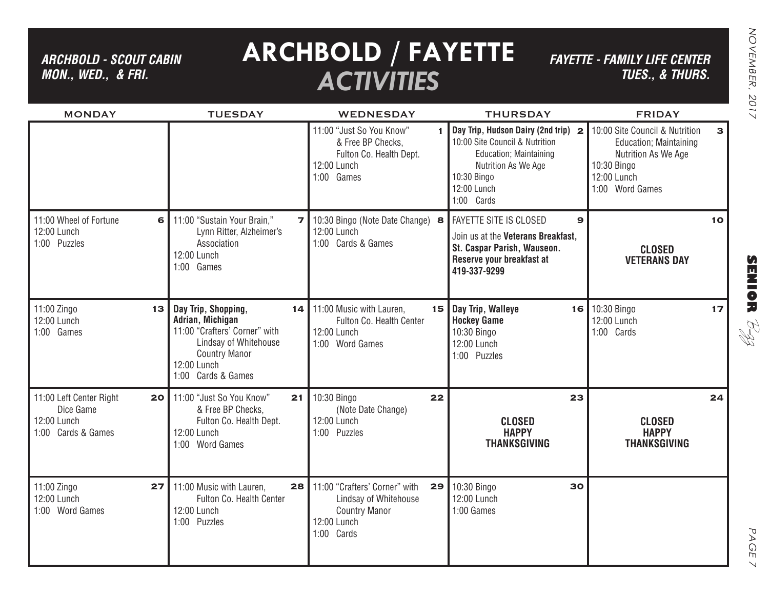*ARCHBOLD - SCOUT CABIN MON., WED., & FRI.*

# **ARCHBOLD / FAYETTE** *ACTIVITIES*

*FAYETTE - FAMILY LIFE CENTER TUES., & THURS.*

| <b>MONDAY</b>                                                             | <b>TUESDAY</b>                                                                                                                                                 | <b>WEDNESDAY</b>                                                                                                  | <b>THURSDAY</b>                                                                                                                                                            | <b>FRIDAY</b>                                                                                                                                            |
|---------------------------------------------------------------------------|----------------------------------------------------------------------------------------------------------------------------------------------------------------|-------------------------------------------------------------------------------------------------------------------|----------------------------------------------------------------------------------------------------------------------------------------------------------------------------|----------------------------------------------------------------------------------------------------------------------------------------------------------|
|                                                                           |                                                                                                                                                                | 11:00 "Just So You Know"<br>& Free BP Checks.<br>Fulton Co. Health Dept.<br>12:00 Lunch<br>1:00 Games             | Day Trip, Hudson Dairy (2nd trip) 2<br>10:00 Site Council & Nutrition<br><b>Education</b> ; Maintaining<br>Nutrition As We Age<br>10:30 Bingo<br>12:00 Lunch<br>1:00 Cards | 10:00 Site Council & Nutrition<br>$\mathbf{3}$<br><b>Education</b> ; Maintaining<br>Nutrition As We Age<br>10:30 Bingo<br>12:00 Lunch<br>1:00 Word Games |
| 11:00 Wheel of Fortune<br>6 <br>12:00 Lunch<br>1:00 Puzzles               | 11:00 "Sustain Your Brain,"<br>7 I<br>Lynn Ritter, Alzheimer's<br>Association<br>12:00 Lunch<br>1:00 Games                                                     | 10:30 Bingo (Note Date Change) 8<br>12:00 Lunch<br>1:00 Cards & Games                                             | <b>FAYETTE SITE IS CLOSED</b><br>$\mathbf{9}$<br>Join us at the Veterans Breakfast.<br>St. Caspar Parish, Wauseon.<br>Reserve your breakfast at<br>419-337-9299            | 10 <sup>1</sup><br><b>CLOSED</b><br><b>VETERANS DAY</b>                                                                                                  |
| 11:00 Zingo<br>13 <sup>1</sup><br>12:00 Lunch<br>1:00 Games               | Day Trip, Shopping,<br>Adrian, Michigan<br>11:00 "Crafters' Corner" with<br>Lindsay of Whitehouse<br><b>Country Manor</b><br>12:00 Lunch<br>1:00 Cards & Games | 14 11:00 Music with Lauren,<br>Fulton Co. Health Center<br>12:00 Lunch<br>1:00 Word Games                         | 15 Day Trip, Walleye<br><b>Hockey Game</b><br>10:30 Bingo<br>12:00 Lunch<br>1:00 Puzzles                                                                                   | 16 10:30 Bingo<br>17<br>12:00 Lunch<br>1:00 Cards                                                                                                        |
| 11:00 Left Center Right<br>Dice Game<br>12:00 Lunch<br>1:00 Cards & Games | 20 11:00 "Just So You Know"<br>21<br>& Free BP Checks,<br>Fulton Co. Health Dept.<br>12:00 Lunch<br>1:00 Word Games                                            | 10:30 Bingo<br>22<br>(Note Date Change)<br>12:00 Lunch<br>1:00 Puzzles                                            | 23<br><b>CLOSED</b><br><b>HAPPY</b><br><b>THANKSGIVING</b>                                                                                                                 | 24<br><b>CLOSED</b><br><b>HAPPY</b><br><b>THANKSGIVING</b>                                                                                               |
| 11:00 Zingo<br>27<br>12:00 Lunch<br>1:00 Word Games                       | 11:00 Music with Lauren,<br>28<br>Fulton Co. Health Center<br>12:00 Lunch<br>1:00 Puzzles                                                                      | 11:00 "Crafters' Corner" with<br>29<br>Lindsay of Whitehouse<br><b>Country Manor</b><br>12:00 Lunch<br>1:00 Cards | 10:30 Bingo<br>30<br>12:00 Lunch<br>1:00 Games                                                                                                                             |                                                                                                                                                          |

**SENIOR** B-zz

> PAGE PAGE 7  $\vee$